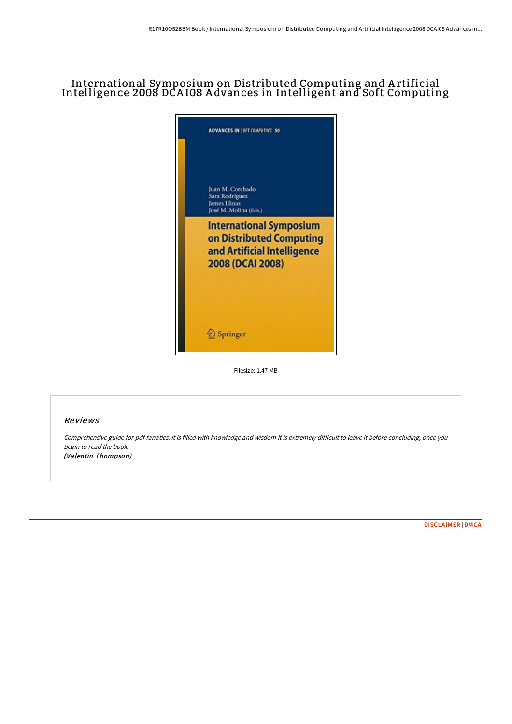## International Symposium on Distributed Computing and A rtificial Intelligence 2008 DCA I08 A dvances in Intelligent and Soft Computing



Filesize: 1.47 MB

## Reviews

Comprehensive guide for pdf fanatics. It is filled with knowledge and wisdom It is extremely difficult to leave it before concluding, once you begin to read the book. (Valentin Thompson)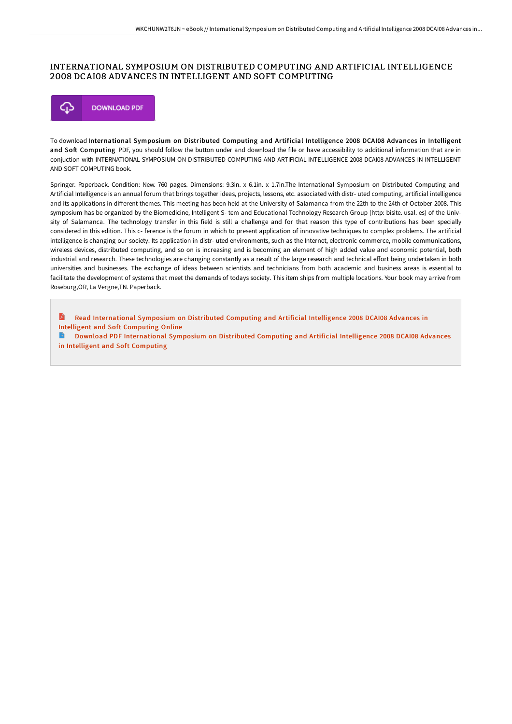## INTERNATIONAL SYMPOSIUM ON DISTRIBUTED COMPUTING AND ARTIFICIAL INTELLIGENCE 2008 DCAI08 ADVANCES IN INTELLIGENT AND SOFT COMPUTING



To download International Symposium on Distributed Computing and Artificial Intelligence 2008 DCAI08 Advances in Intelligent and Soft Computing PDF, you should follow the button under and download the file or have accessibility to additional information that are in conjuction with INTERNATIONAL SYMPOSIUM ON DISTRIBUTED COMPUTING AND ARTIFICIAL INTELLIGENCE 2008 DCAI08 ADVANCES IN INTELLIGENT AND SOFT COMPUTING book.

Springer. Paperback. Condition: New. 760 pages. Dimensions: 9.3in. x 6.1in. x 1.7in.The International Symposium on Distributed Computing and Artificial Intelligence is an annual forum that brings together ideas, projects, lessons, etc. associated with distr- uted computing, artificial intelligence and its applications in diFerent themes. This meeting has been held at the University of Salamanca from the 22th to the 24th of October 2008. This symposium has be organized by the Biomedicine, Intelligent S- tem and Educational Technology Research Group (http: bisite. usal. es) of the Univsity of Salamanca. The technology transfer in this field is still a challenge and for that reason this type of contributions has been specially considered in this edition. This c- ference is the forum in which to present application of innovative techniques to complex problems. The artificial intelligence is changing our society. Its application in distr- uted environments, such as the Internet, electronic commerce, mobile communications, wireless devices, distributed computing, and so on is increasing and is becoming an element of high added value and economic potential, both industrial and research. These technologies are changing constantly as a result of the large research and technical effort being undertaken in both universities and businesses. The exchange of ideas between scientists and technicians from both academic and business areas is essential to facilitate the development of systems that meet the demands of todays society. This item ships from multiple locations. Your book may arrive from Roseburg,OR, La Vergne,TN. Paperback.

A Read [International](http://bookera.tech/international-symposium-on-distributed-computing.html) Symposium on Distributed Computing and Artificial Intelligence 2008 DCAI08 Advances in Intelligent and Soft Computing Online

Download PDF [International](http://bookera.tech/international-symposium-on-distributed-computing.html) Symposium on Distributed Computing and Artificial Intelligence 2008 DCAI08 Advances in Intelligent and Soft Computing